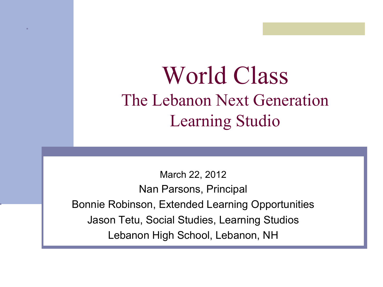#### World Class The Lebanon Next Generation Learning Studio

March 22, 2012 Nan Parsons, Principal Bonnie Robinson, Extended Learning Opportunities Jason Tetu, Social Studies, Learning Studios Lebanon High School, Lebanon, NH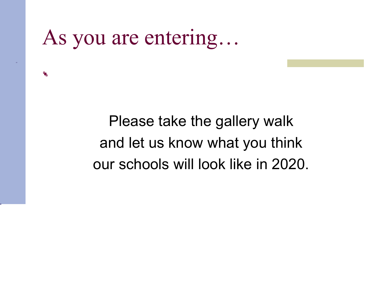As you are entering…

٩.

Please take the gallery walk and let us know what you think our schools will look like in 2020.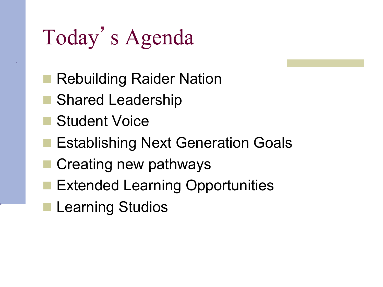# Today's Agenda

- **Rebuilding Raider Nation**
- **n** Shared Leadership
- **n** Student Voice
- **Establishing Next Generation Goals**
- Creating new pathways
- **Extended Learning Opportunities**
- **Learning Studios**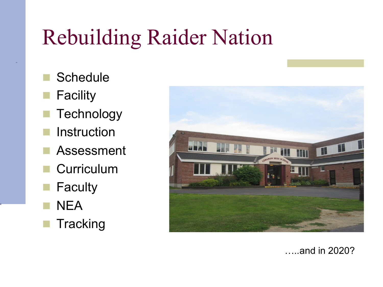### Rebuilding Raider Nation

- **Schedule**
- **Facility**
- **Technology**
- **Instruction**
- **Assessment**
- **Curriculum**
- **Faculty**
- **NEA**
- **Tracking**



…..and in 2020?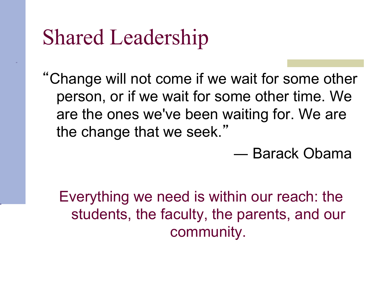#### Shared Leadership

"Change will not come if we wait for some other person, or if we wait for some other time. We are the ones we've been waiting for. We are the change that we seek."

― Barack Obama

Everything we need is within our reach: the students, the faculty, the parents, and our community.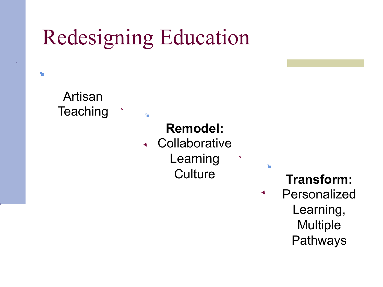### Redesigning Education

٩.

Artisan **Teaching**  $\ddot{\phantom{1}}$ 

q.

#### **Remodel:**

**Collaborative**  $\blacktriangleleft$ 

Learning

Culture **Transform:** 

q.

Personalized  $\blacktriangleleft$ Learning, **Multiple** Pathways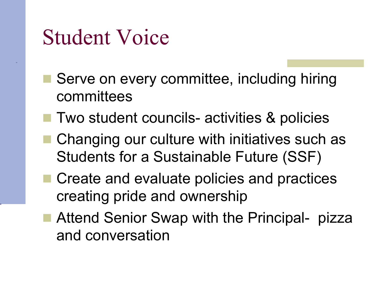#### Student Voice

- Serve on every committee, including hiring committees
- Two student councils- activities & policies
- Changing our culture with initiatives such as Students for a Sustainable Future (SSF)
- Create and evaluate policies and practices creating pride and ownership
- Attend Senior Swap with the Principal- pizza and conversation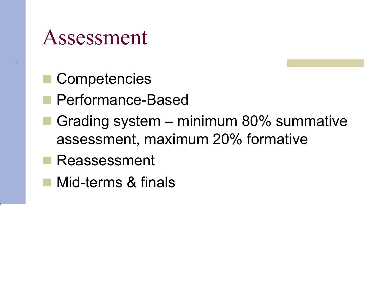#### Assessment

- **Competencies**
- **n** Performance-Based
- Grading system minimum 80% summative assessment, maximum 20% formative
- **Reassessment**
- Mid-terms & finals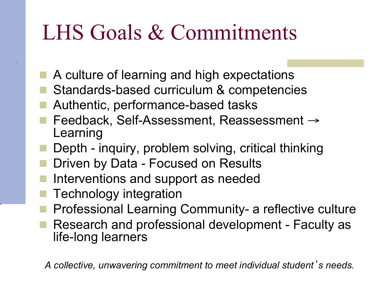### LHS Goals & Commitments

- A culture of learning and high expectations
- Standards-based curriculum & competencies
- Authentic, performance-based tasks
- n Feedback, Self-Assessment, Reassessment → Learning
- Depth inquiry, problem solving, critical thinking
- Driven by Data Focused on Results
- Interventions and support as needed
- Technology integration
- n Professional Learning Community- a reflective culture
- Research and professional development Faculty as life-long learners

*A collective, unwavering commitment to meet individual student*'*s needs.*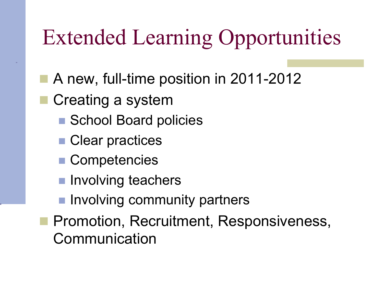# Extended Learning Opportunities

- A new, full-time position in 2011-2012
- Creating a system
	- School Board policies
	- Clear practices
	- Competencies
	- **n** Involving teachers
	- **n** Involving community partners
- **n Promotion, Recruitment, Responsiveness,** Communication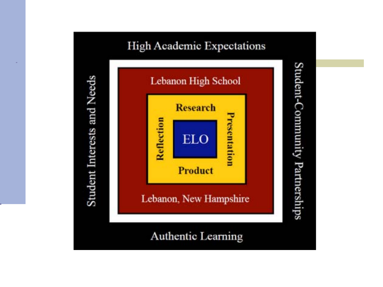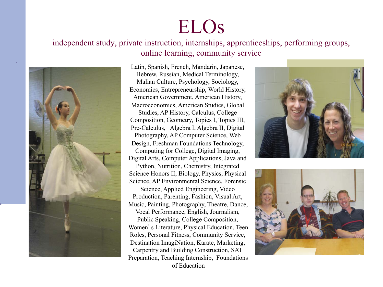#### ELOs

independent study, private instruction, internships, apprenticeships, performing groups, online learning, community service



Latin, Spanish, French, Mandarin, Japanese, Hebrew, Russian, Medical Terminology, Malian Culture, Psychology, Sociology, Economics, Entrepreneurship, World History, American Government, American History, Macroeconomics, American Studies, Global Studies, AP History, Calculus, College Composition, Geometry, Topics I, Topics III, Pre-Calculus, Algebra I, Algebra II, Digital Photography, AP Computer Science, Web Design, Freshman Foundations Technology, Computing for College, Digital Imaging, Digital Arts, Computer Applications, Java and Python, Nutrition, Chemistry, Integrated Science Honors II, Biology, Physics, Physical Science, AP Environmental Science, Forensic Science, Applied Engineering, Video Production, Parenting, Fashion, Visual Art, Music, Painting, Photography, Theatre, Dance, Vocal Performance, English, Journalism, Public Speaking, College Composition, Women's Literature, Physical Education, Teen Roles, Personal Fitness, Community Service, Destination ImagiNation, Karate, Marketing, Carpentry and Building Construction, SAT

of Education



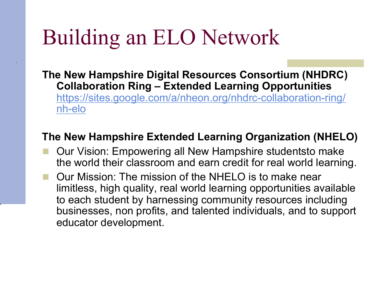#### Building an ELO Network

**The New Hampshire Digital Resources Consortium (NHDRC) Collaboration Ring – Extended Learning Opportunities** https://sites.google.com/a/nheon.org/nhdrc-collaboration-ring/ nh-elo

#### **The New Hampshire Extended Learning Organization (NHELO)**

- Our Vision: Empowering all New Hampshire studentsto make the world their classroom and earn credit for real world learning.
- Our Mission: The mission of the NHELO is to make near limitless, high quality, real world learning opportunities available to each student by harnessing community resources including businesses, non profits, and talented individuals, and to support educator development.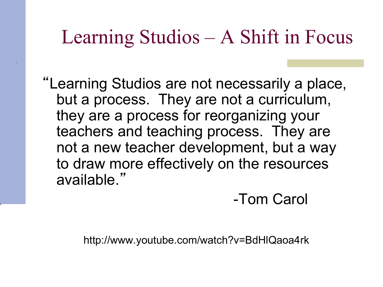#### Learning Studios – A Shift in Focus

"Learning Studios are not necessarily a place, but a process. They are not a curriculum, they are a process for reorganizing your teachers and teaching process. They are not a new teacher development, but a way to draw more effectively on the resources available."

-Tom Carol

http://www.youtube.com/watch?v=BdHlQaoa4rk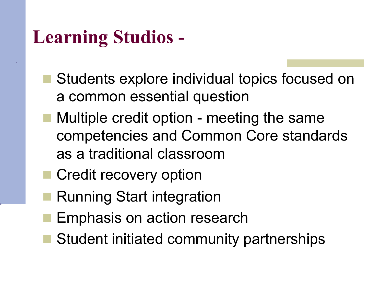#### **Learning Studios -**

- Students explore individual topics focused on a common essential question
- Multiple credit option meeting the same competencies and Common Core standards as a traditional classroom
- **n** Credit recovery option
- Running Start integration
- Emphasis on action research
- Student initiated community partnerships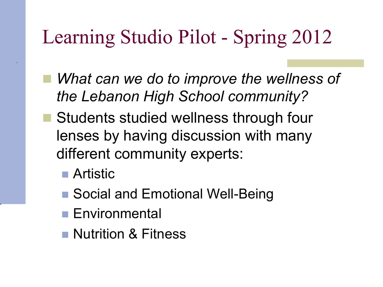#### Learning Studio Pilot - Spring 2012

- What can we do to *improve the wellness of the Lebanon High School community?*
- **Students studied wellness through four** lenses by having discussion with many different community experts:
	- Artistic
	- Social and Emotional Well-Being
	- **n** Environmental
	- **Nutrition & Fitness**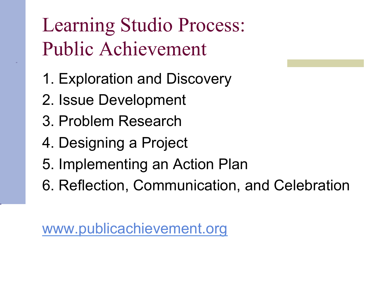#### Learning Studio Process: Public Achievement

- 1. Exploration and Discovery
- 2. Issue Development
- 3. Problem Research
- 4. Designing a Project
- 5. Implementing an Action Plan
- 6. Reflection, Communication, and Celebration

www.publicachievement.org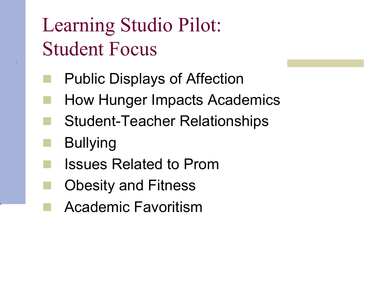#### Learning Studio Pilot: Student Focus

- Public Displays of Affection
- How Hunger Impacts Academics
- Student-Teacher Relationships
- **Bullying**
- n Issues Related to Prom
- **Obesity and Fitness** 
	- Academic Favoritism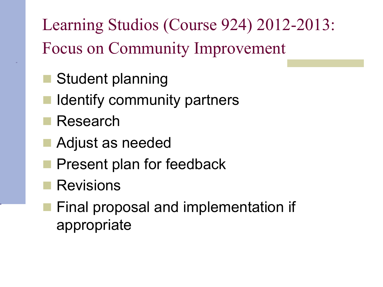Learning Studios (Course 924) 2012-2013: Focus on Community Improvement

- Student planning
- I dentify community partners
- **Research**
- Adjust as needed
- **Present plan for feedback**
- **Revisions** 
	- Final proposal and implementation if appropriate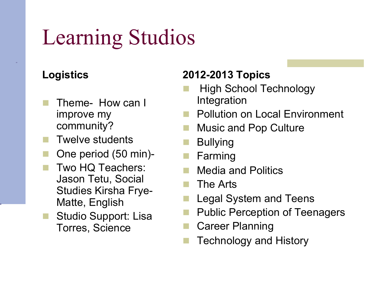# Learning Studios

#### **Logistics**

- Theme- How can I improve my community?
- Twelve students
- One period (50 min)-
- Two HQ Teachers: Jason Tetu, Social Studies Kirsha Frye-Matte, English
- Studio Support: Lisa Torres, Science

#### **2012-2013 Topics**

- High School Technology Integration
- **n** Pollution on Local Environment
- **Music and Pop Culture**
- **Bullying**
- **Farming**
- Media and Politics
- The Arts
- Legal System and Teens
- Public Perception of Teenagers
- **Career Planning**
- **Technology and History**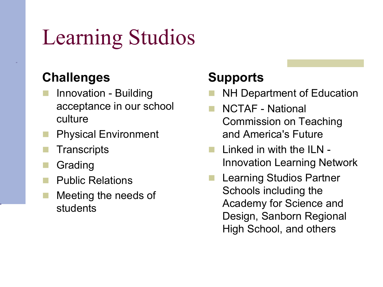# Learning Studios

#### **Challenges**

- **Innovation Building** acceptance in our school culture
- **Physical Environment**
- **Transcripts**
- **Grading**
- **Public Relations**
- Meeting the needs of students

#### **Supports**

- NH Department of Education
- n NCTAF National Commission on Teaching and America's Future
- Linked in with the ILN -Innovation Learning Network
- **Learning Studios Partner** Schools including the Academy for Science and Design, Sanborn Regional High School, and others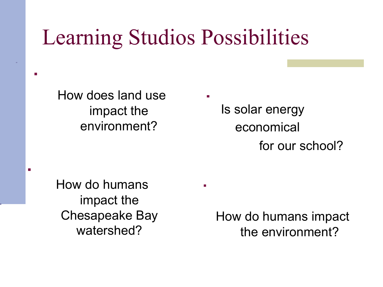#### Learning Studios Possibilities

How does land use impact the environment?

Is solar energy economical for our school?

How do humans impact the Chesapeake Bay watershed?

 $\overline{\mathbf{r}}$ 

How do humans impact the environment?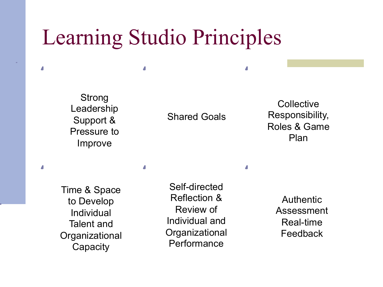#### Learning Studio Principles

Δ

Strong Leadership Support & Pressure to Improve

Z

Z

#### Shared Goals

**Collective** Responsibility, Roles & Game Plan

Time & Space to Develop Individual Talent and **Organizational Capacity** 

Self-directed Reflection & Review of Individual and **Organizational Performance** 

Λ

**Authentic** Assessment Real-time Feedback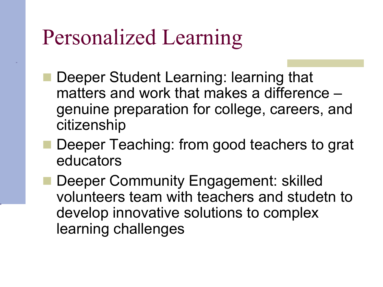#### Personalized Learning

- Deeper Student Learning: learning that matters and work that makes a difference – genuine preparation for college, careers, and citizenship
- Deeper Teaching: from good teachers to grat educators
- Deeper Community Engagement: skilled volunteers team with teachers and studetn to develop innovative solutions to complex learning challenges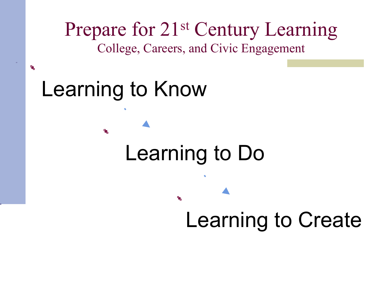

#### Learning to Know

偶

#### Learning to Do

ъ,

# Learning to Create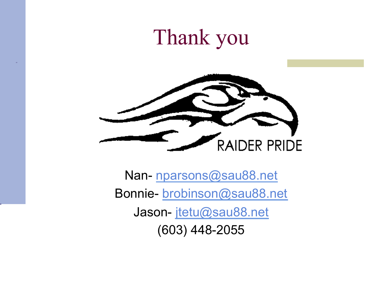#### Thank you



Nan- nparsons@sau88.net Bonnie- brobinson@sau88.net Jason- jtetu@sau88.net (603) 448-2055